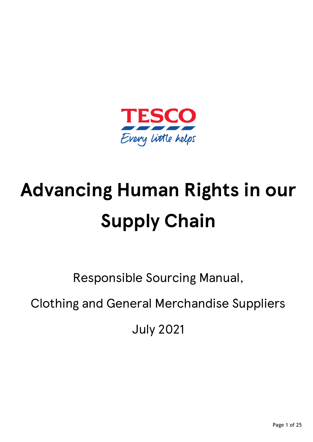

# **Advancing Human Rights in our Supply Chain**

Responsible Sourcing Manual,

Clothing and General Merchandise Suppliers

July 2021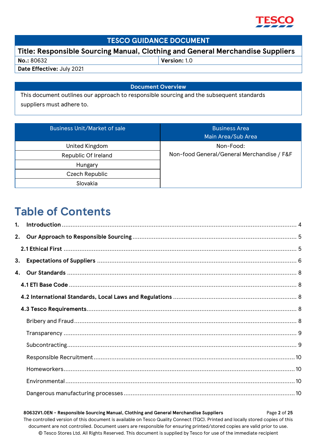

## **TESCO GUIDANCE DOCUMENT**

**Title: Responsible Sourcing Manual, Clothing and General Merchandise Suppliers**

| No.: 80632                | Version: 1.0 |
|---------------------------|--------------|
| Date Effective: July 2021 |              |

**Document Overview**

This document outlines our approach to responsible sourcing and the subsequent standards suppliers must adhere to.

| <b>Business Unit/Market of sale</b> | <b>Business Area</b><br>Main Area/Sub Area |
|-------------------------------------|--------------------------------------------|
| United Kingdom                      | Non-Food:                                  |
| Republic Of Ireland                 | Non-food General/General Merchandise / F&F |
| Hungary                             |                                            |
| Czech Republic                      |                                            |
| Slovakia                            |                                            |

# **Table of Contents**

 **80632V1.0EN - Responsible Sourcing Manual, Clothing and General Merchandise Suppliers** Page **2** of **25** The controlled version of this document is available on Tesco Quality Connect (TQC). Printed and locally stored copies of this document are not controlled. Document users are responsible for ensuring printed/stored copies are valid prior to use. © Tesco Stores Ltd. All Rights Reserved. This document is supplied by Tesco for use of the immediate recipient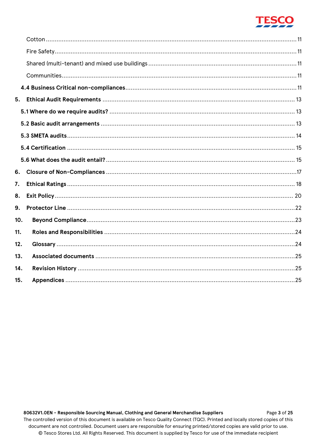

| 5.  |  |
|-----|--|
|     |  |
|     |  |
|     |  |
|     |  |
|     |  |
| 6.  |  |
| 7.  |  |
| 8.  |  |
| 9.  |  |
| 10. |  |
| 11. |  |
| 12. |  |
| 13. |  |
| 14. |  |
| 15. |  |

80632V1.0EN - Responsible Sourcing Manual, Clothing and General Merchandise Suppliers Page 3 of 25 The controlled version of this document is available on Tesco Quality Connect (TQC). Printed and locally stored copies of this document are not controlled. Document users are responsible for ensuring printed/stored copies are valid prior to use. © Tesco Stores Ltd. All Rights Reserved. This document is supplied by Tesco for use of the immediate recipient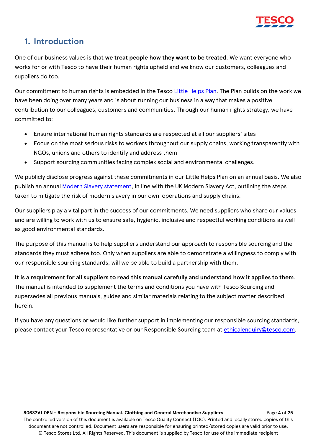

# <span id="page-3-0"></span>**1. Introduction**

One of our business values is that **we treat people how they want to be treated**. We want everyone who works for or with Tesco to have their human rights upheld and we know our customers, colleagues and suppliers do too.

Our commitment to human rights is embedded in the Tesco [Little Helps Plan.](https://www.tescoplc.com/sustainability/reporting-hub/) The Plan builds on the work we have been doing over many years and is about running our business in a way that makes a positive contribution to our colleagues, customers and communities. Through our human rights strategy, we have committed to:

- Ensure international human rights standards are respected at all our suppliers' sites
- Focus on the most serious risks to workers throughout our supply chains, working transparently with NGOs, unions and others to identify and address them
- Support sourcing communities facing complex social and environmental challenges.

We publicly disclose progress against these commitments in our Little Helps Plan on an annual basis. We also publish an annual [Modern Slavery statement,](https://www.tescoplc.com/sustainability/reporting-hub/) in line with the UK Modern Slavery Act, outlining the steps taken to mitigate the risk of modern slavery in our own-operations and supply chains.

Our suppliers play a vital part in the success of our commitments. We need suppliers who share our values and are willing to work with us to ensure safe, hygienic, inclusive and respectful working conditions as well as good environmental standards.

The purpose of this manual is to help suppliers understand our approach to responsible sourcing and the standards they must adhere too. Only when suppliers are able to demonstrate a willingness to comply with our responsible sourcing standards, will we be able to build a partnership with them.

**It is a requirement for all suppliers to read this manual carefully and understand how it applies to them**. The manual is intended to supplement the terms and conditions you have with Tesco Sourcing and supersedes all previous manuals, guides and similar materials relating to the subject matter described herein.

If you have any questions or would like further support in implementing our responsible sourcing standards, please contact your Tesco representative or our Responsible Sourcing team at [ethicalenquiry@tesco.com.](mailto:ethicalenquiry@tesco.com)

 **80632V1.0EN - Responsible Sourcing Manual, Clothing and General Merchandise Suppliers** Page **4** of **25** The controlled version of this document is available on Tesco Quality Connect (TQC). Printed and locally stored copies of this document are not controlled. Document users are responsible for ensuring printed/stored copies are valid prior to use. © Tesco Stores Ltd. All Rights Reserved. This document is supplied by Tesco for use of the immediate recipient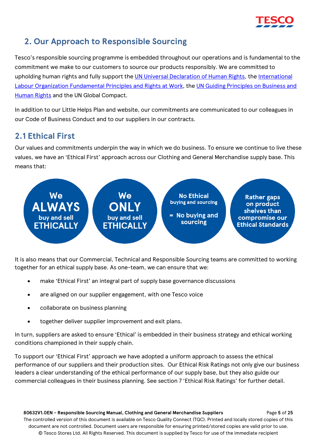

# <span id="page-4-0"></span>**2. Our Approach to Responsible Sourcing**

Tesco's responsible sourcing programme is embedded throughout our operations and is fundamental to the commitment we make to our customers to source our products responsibly. We are committed to upholding human rights and fully support the [UN Universal Declaration of Human Rights,](https://www.un.org/en/about-us/universal-declaration-of-human-rights) the [International](https://www.ilo.org/declaration/lang--en/index.htm)  [Labour Organization Fundamental Principles and Rights at Work,](https://www.ilo.org/declaration/lang--en/index.htm) the [UN Guiding Principles on Business and](https://www.ohchr.org/Documents/Publications/GuidingPrinciplesBusinessHR_EN.pdf)  [Human Rights](https://www.ohchr.org/Documents/Publications/GuidingPrinciplesBusinessHR_EN.pdf) and the UN Global Compact.

In addition to our Little Helps Plan and website, our commitments are communicated to our colleagues in our Code of Business Conduct and to our suppliers in our contracts.

# <span id="page-4-1"></span>**2.1 Ethical First**

Our values and commitments underpin the way in which we do business. To ensure we continue to live these values, we have an 'Ethical First' approach across our Clothing and General Merchandise supply base. This means that:



It is also means that our Commercial, Technical and Responsible Sourcing teams are committed to working together for an ethical supply base. As one-team, we can ensure that we:

- make 'Ethical First' an integral part of supply base governance discussions
- are aligned on our supplier engagement, with one Tesco voice
- collaborate on business planning
- together deliver supplier improvement and exit plans.

In turn, suppliers are asked to ensure 'Ethical' is embedded in their business strategy and ethical working conditions championed in their supply chain.

To support our 'Ethical First' approach we have adopted a uniform approach to assess the ethical performance of our suppliers and their production sites. Our Ethical Risk Ratings not only give our business leaders a clear understanding of the ethical performance of our supply base, but they also guide our commercial colleagues in their business planning. See section 7 'Ethical Risk Ratings' for further detail.

 **80632V1.0EN - Responsible Sourcing Manual, Clothing and General Merchandise Suppliers** Page **5** of **25** The controlled version of this document is available on Tesco Quality Connect (TQC). Printed and locally stored copies of this document are not controlled. Document users are responsible for ensuring printed/stored copies are valid prior to use. © Tesco Stores Ltd. All Rights Reserved. This document is supplied by Tesco for use of the immediate recipient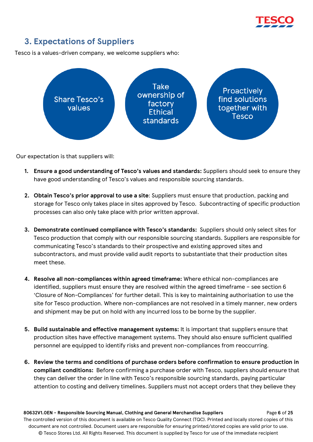

# <span id="page-5-0"></span>**3. Expectations of Suppliers**

Tesco is a values-driven company, we welcome suppliers who:



Our expectation is that suppliers will:

- **1. Ensure a good understanding of Tesco's values and standards:** Suppliers should seek to ensure they have good understanding of Tesco's values and responsible sourcing standards.
- **2. Obtain Tesco's prior approval to use a site**: Suppliers must ensure that production, packing and storage for Tesco only takes place in sites approved by Tesco. Subcontracting of specific production processes can also only take place with prior written approval.
- **3. Demonstrate continued compliance with Tesco's standards:** Suppliers should only select sites for Tesco production that comply with our responsible sourcing standards. Suppliers are responsible for communicating Tesco's standards to their prospective and existing approved sites and subcontractors, and must provide valid audit reports to substantiate that their production sites meet these.
- **4. Resolve all non-compliances within agreed timeframe:** Where ethical non-compliances are identified, suppliers must ensure they are resolved within the agreed timeframe – see section 6 'Closure of Non-Compliances' for further detail. This is key to maintaining authorisation to use the site for Tesco production. Where non-compliances are not resolved in a timely manner, new orders and shipment may be put on hold with any incurred loss to be borne by the supplier.
- **5. Build sustainable and effective management systems:** It is important that suppliers ensure that production sites have effective management systems. They should also ensure sufficient qualified personnel are equipped to identify risks and prevent non-compliances from reoccurring.
- **6. Review the terms and conditions of purchase orders before confirmation to ensure production in compliant conditions:** Before confirming a purchase order with Tesco, suppliers should ensure that they can deliver the order in line with Tesco's responsible sourcing standards, paying particular attention to costing and delivery timelines. Suppliers must not accept orders that they believe they

 **80632V1.0EN - Responsible Sourcing Manual, Clothing and General Merchandise Suppliers** Page **6** of **25** The controlled version of this document is available on Tesco Quality Connect (TQC). Printed and locally stored copies of this document are not controlled. Document users are responsible for ensuring printed/stored copies are valid prior to use. © Tesco Stores Ltd. All Rights Reserved. This document is supplied by Tesco for use of the immediate recipient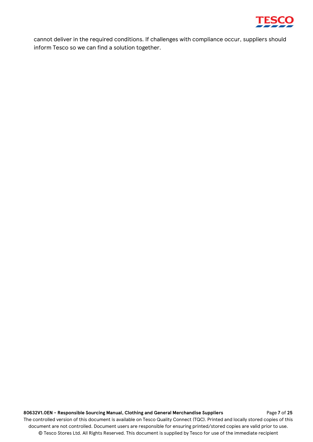

cannot deliver in the required conditions. If challenges with compliance occur, suppliers should inform Tesco so we can find a solution together.

## **80632V1.0EN - Responsible Sourcing Manual, Clothing and General Merchandise Suppliers** Page **7** of **25**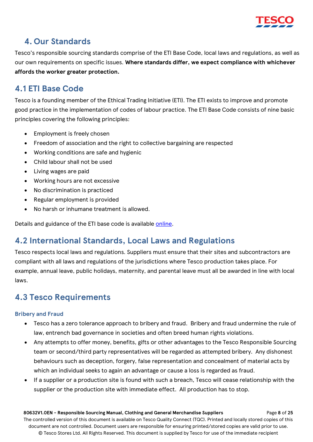

## <span id="page-7-0"></span>**4. Our Standards**

Tesco's responsible sourcing standards comprise of the ETI Base Code, local laws and regulations, as well as our own requirements on specific issues. **Where standards differ, we expect compliance with whichever affords the worker greater protection.**

# <span id="page-7-1"></span>**4.1 ETI Base Code**

Tesco is a founding member of the Ethical Trading Initiative (ETI). The ETI exists to improve and promote good practice in the implementation of codes of labour practice. The ETI Base Code consists of nine basic principles covering the following principles:

- Employment is freely chosen
- Freedom of association and the right to collective bargaining are respected
- Working conditions are safe and hygienic
- Child labour shall not be used
- Living wages are paid
- Working hours are not excessive
- No discrimination is practiced
- Regular employment is provided
- No harsh or inhumane treatment is allowed.

Details and guidance of the ETI base code is available [online.](http://www.ethicaltrade.org/)

# <span id="page-7-2"></span>**4.2 International Standards, Local Laws and Regulations**

Tesco respects local laws and regulations. Suppliers must ensure that their sites and subcontractors are compliant with all laws and regulations of the jurisdictions where Tesco production takes place. For example, annual leave, public holidays, maternity, and parental leave must all be awarded in line with local laws.

# <span id="page-7-3"></span>**4.3 Tesco Requirements**

## <span id="page-7-4"></span>**Bribery and Fraud**

- Tesco has a zero tolerance approach to bribery and fraud. Bribery and fraud undermine the rule of law, entrench bad governance in societies and often breed human rights violations.
- Any attempts to offer money, benefits, gifts or other advantages to the Tesco Responsible Sourcing team or second/third party representatives will be regarded as attempted bribery. Any dishonest behaviours such as deception, forgery, false representation and concealment of material acts by which an individual seeks to again an advantage or cause a loss is regarded as fraud.
- If a supplier or a production site is found with such a breach, Tesco will cease relationship with the supplier or the production site with immediate effect. All production has to stop.

 **80632V1.0EN - Responsible Sourcing Manual, Clothing and General Merchandise Suppliers** Page **8** of **25** The controlled version of this document is available on Tesco Quality Connect (TQC). Printed and locally stored copies of this document are not controlled. Document users are responsible for ensuring printed/stored copies are valid prior to use. © Tesco Stores Ltd. All Rights Reserved. This document is supplied by Tesco for use of the immediate recipient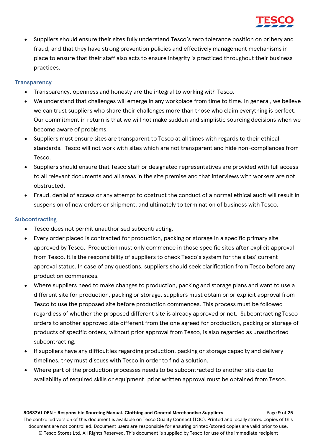

• Suppliers should ensure their sites fully understand Tesco's zero tolerance position on bribery and fraud, and that they have strong prevention policies and effectively management mechanisms in place to ensure that their staff also acts to ensure integrity is practiced throughout their business practices.

## <span id="page-8-0"></span>**Transparency**

- Transparency, openness and honesty are the integral to working with Tesco.
- We understand that challenges will emerge in any workplace from time to time. In general, we believe we can trust suppliers who share their challenges more than those who claim everything is perfect. Our commitment in return is that we will not make sudden and simplistic sourcing decisions when we become aware of problems.
- Suppliers must ensure sites are transparent to Tesco at all times with regards to their ethical standards. Tesco will not work with sites which are not transparent and hide non-compliances from Tesco.
- Suppliers should ensure that Tesco staff or designated representatives are provided with full access to all relevant documents and all areas in the site premise and that interviews with workers are not obstructed.
- Fraud, denial of access or any attempt to obstruct the conduct of a normal ethical audit will result in suspension of new orders or shipment, and ultimately to termination of business with Tesco.

## <span id="page-8-1"></span>**Subcontracting**

- Tesco does not permit unauthorised subcontracting.
- Every order placed is contracted for production, packing or storage in a specific primary site approved by Tesco. Production must only commence in those specific sites **after** explicit approval from Tesco. It is the responsibility of suppliers to check Tesco's system for the sites' current approval status. In case of any questions, suppliers should seek clarification from Tesco before any production commences.
- Where suppliers need to make changes to production, packing and storage plans and want to use a different site for production, packing or storage, suppliers must obtain prior explicit approval from Tesco to use the proposed site before production commences. This process must be followed regardless of whether the proposed different site is already approved or not. Subcontracting Tesco orders to another approved site different from the one agreed for production, packing or storage of products of specific orders, without prior approval from Tesco, is also regarded as unauthorized subcontracting.
- If suppliers have any difficulties regarding production, packing or storage capacity and delivery timelines, they must discuss with Tesco in order to find a solution.
- Where part of the production processes needs to be subcontracted to another site due to availability of required skills or equipment, prior written approval must be obtained from Tesco.

 **80632V1.0EN - Responsible Sourcing Manual, Clothing and General Merchandise Suppliers** Page **9** of **25** The controlled version of this document is available on Tesco Quality Connect (TQC). Printed and locally stored copies of this document are not controlled. Document users are responsible for ensuring printed/stored copies are valid prior to use. © Tesco Stores Ltd. All Rights Reserved. This document is supplied by Tesco for use of the immediate recipient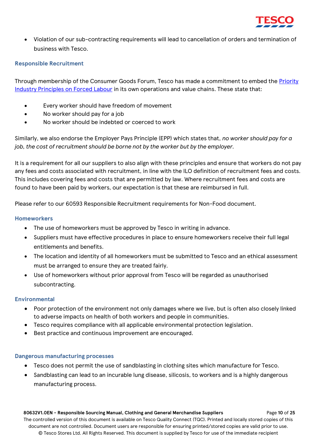

• Violation of our sub-contracting requirements will lead to cancellation of orders and termination of business with Tesco.

## <span id="page-9-0"></span>**Responsible Recruitment**

Through membership of the Consumer Goods Forum, Tesco has made a commitment to embed the [Priority](https://www.theconsumergoodsforum.com/initiatives/social-sustainability/key-projects/priority-industry-principles/) [Industry Principles on Forced Labour](https://www.theconsumergoodsforum.com/initiatives/social-sustainability/key-projects/priority-industry-principles/) in its own operations and value chains. These state that:

- Every worker should have freedom of movement
- No worker should pay for a job
- No worker should be indebted or coerced to work

Similarly, we also endorse the Employer Pays Principle (EPP) which states that, *no worker should pay for a job, the cost of recruitment should be borne not by the worker but by the employer.*

It is a requirement for all our suppliers to also align with these principles and ensure that workers do not pay any fees and costs associated with recruitment, in line with the ILO definition of recruitment fees and costs. This includes covering fees and costs that are permitted by law. Where recruitment fees and costs are found to have been paid by workers, our expectation is that these are reimbursed in full.

Please refer to our 60593 Responsible Recruitment requirements for Non-Food document.

## <span id="page-9-1"></span>**Homeworkers**

- The use of homeworkers must be approved by Tesco in writing in advance.
- Suppliers must have effective procedures in place to ensure homeworkers receive their full legal entitlements and benefits.
- The location and identity of all homeworkers must be submitted to Tesco and an ethical assessment must be arranged to ensure they are treated fairly.
- Use of homeworkers without prior approval from Tesco will be regarded as unauthorised subcontracting.

## <span id="page-9-2"></span>**Environmental**

- Poor protection of the environment not only damages where we live, but is often also closely linked to adverse impacts on health of both workers and people in communities.
- Tesco requires compliance with all applicable environmental protection legislation.
- Best practice and continuous improvement are encouraged.

## <span id="page-9-3"></span>**Dangerous manufacturing processes**

- Tesco does not permit the use of sandblasting in clothing sites which manufacture for Tesco.
- Sandblasting can lead to an incurable lung disease, silicosis, to workers and is a highly dangerous manufacturing process.

#### **80632V1.0EN - Responsible Sourcing Manual, Clothing and General Merchandise Suppliers** Page **10** of **25**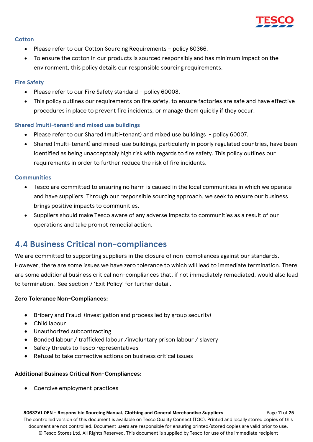

#### <span id="page-10-0"></span>**Cotton**

- Please refer to our Cotton Sourcing Requirements policy 60366.
- To ensure the cotton in our products is sourced responsibly and has minimum impact on the environment, this policy details our responsible sourcing requirements.

## <span id="page-10-1"></span>**Fire Safety**

- Please refer to our Fire Safety standard policy 60008.
- This policy outlines our requirements on fire safety, to ensure factories are safe and have effective procedures in place to prevent fire incidents, or manage them quickly if they occur.

## <span id="page-10-2"></span>**Shared (multi-tenant) and mixed use buildings**

- Please refer to our Shared (multi-tenant) and mixed use buildings policy 60007.
- Shared (multi-tenant) and mixed-use buildings, particularly in poorly regulated countries, have been identified as being unacceptably high risk with regards to fire safety. This policy outlines our requirements in order to further reduce the risk of fire incidents.

#### <span id="page-10-3"></span>**Communities**

- Tesco are committed to ensuring no harm is caused in the local communities in which we operate and have suppliers. Through our responsible sourcing approach, we seek to ensure our business brings positive impacts to communities.
- Suppliers should make Tesco aware of any adverse impacts to communities as a result of our operations and take prompt remedial action.

## <span id="page-10-4"></span>**4.4 Business Critical non-compliances**

We are committed to supporting suppliers in the closure of non-compliances against our standards. However, there are some issues we have zero tolerance to which will lead to immediate termination. There are some additional business critical non-compliances that, if not immediately remediated, would also lead to termination. See section 7 'Exit Policy' for further detail.

## **Zero Tolerance Non-Compliances:**

- Bribery and Fraud (investigation and process led by group security)
- Child labour
- Unauthorized subcontracting
- Bonded labour / trafficked labour /involuntary prison labour / slavery
- Safety threats to Tesco representatives
- Refusal to take corrective actions on business critical issues

## **Additional Business Critical Non-Compliances:**

• Coercive employment practices

#### **80632V1.0EN - Responsible Sourcing Manual, Clothing and General Merchandise Suppliers** Page **11** of **25**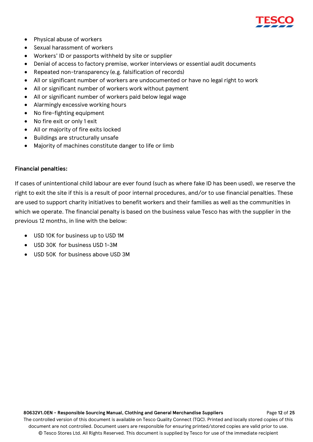

- Physical abuse of workers
- Sexual harassment of workers
- Workers' ID or passports withheld by site or supplier
- Denial of access to factory premise, worker interviews or essential audit documents
- Repeated non-transparency (e.g. falsification of records)
- All or significant number of workers are undocumented or have no legal right to work
- All or significant number of workers work without payment
- All or significant number of workers paid below legal wage
- Alarmingly excessive working hours
- No fire-fighting equipment
- No fire exit or only 1 exit
- All or majority of fire exits locked
- Buildings are structurally unsafe
- Majority of machines constitute danger to life or limb

#### **Financial penalties:**

If cases of unintentional child labour are ever found (such as where fake ID has been used), we reserve the right to exit the site if this is a result of poor internal procedures, and/or to use financial penalties. These are used to support charity initiatives to benefit workers and their families as well as the communities in which we operate. The financial penalty is based on the business value Tesco has with the supplier in the previous 12 months, in line with the below:

- USD 10K for business up to USD 1M
- USD 30K for business USD 1-3M
- USD 50K for business above USD 3M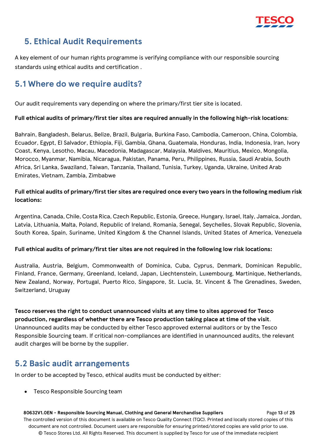

# <span id="page-12-0"></span>**5. Ethical Audit Requirements**

A key element of our human rights programme is verifying compliance with our responsible sourcing standards using ethical audits and certification .

# <span id="page-12-1"></span>**5.1 Where do we require audits?**

Our audit requirements vary depending on where the primary/first tier site is located.

## **Full ethical audits of primary/first tier sites are required annually in the following high-risk locations**:

Bahrain, Bangladesh, Belarus, Belize, Brazil, Bulgaria, Burkina Faso, Cambodia, Cameroon, China, Colombia, Ecuador, Egypt, El Salvador, Ethiopia, Fiji, Gambia, Ghana, Guatemala, Honduras, India, Indonesia, Iran, Ivory Coast, Kenya, Lesotho, Macau, Macedonia, Madagascar, Malaysia, Maldives, Mauritius, Mexico, Mongolia, Morocco, Myanmar, Namibia, Nicaragua, Pakistan, Panama, Peru, Philippines, Russia, Saudi Arabia, South Africa, Sri Lanka, Swaziland, Taiwan, Tanzania, Thailand, Tunisia, Turkey, Uganda, Ukraine, United Arab Emirates, Vietnam, Zambia, Zimbabwe

## **Full ethical audits of primary/first tier sites are required once every two years in the following medium risk locations:**

Argentina, Canada, Chile, Costa Rica, Czech Republic, Estonia, Greece, Hungary, Israel, Italy, Jamaica, Jordan, Latvia, Lithuania, Malta, Poland, Republic of Ireland, Romania, Senegal, Seychelles, Slovak Republic, Slovenia, South Korea, Spain, Suriname, United Kingdom & the Channel Islands, United States of America, Venezuela

## **Full ethical audits of primary/first tier sites are not required in the following low risk locations:**

Australia, Austria, Belgium, Commonwealth of Dominica, Cuba, Cyprus, Denmark, Dominican Republic, Finland, France, Germany, Greenland, Iceland, Japan, Liechtenstein, Luxembourg, Martinique, Netherlands, New Zealand, Norway, Portugal, Puerto Rico, Singapore, St. Lucia, St. Vincent & The Grenadines, Sweden, Switzerland, Uruguay

## **Tesco reserves the right to conduct unannounced visits at any time to sites approved for Tesco production, regardless of whether there are Tesco production taking place at time of the visit**. Unannounced audits may be conducted by either Tesco approved external auditors or by the Tesco Responsible Sourcing team. If critical non-compliances are identified in unannounced audits, the relevant audit charges will be borne by the supplier.

# <span id="page-12-2"></span>**5.2 Basic audit arrangements**

In order to be accepted by Tesco, ethical audits must be conducted by either:

• Tesco Responsible Sourcing team

 **80632V1.0EN - Responsible Sourcing Manual, Clothing and General Merchandise Suppliers** Page **13** of **25** The controlled version of this document is available on Tesco Quality Connect (TQC). Printed and locally stored copies of this document are not controlled. Document users are responsible for ensuring printed/stored copies are valid prior to use. © Tesco Stores Ltd. All Rights Reserved. This document is supplied by Tesco for use of the immediate recipient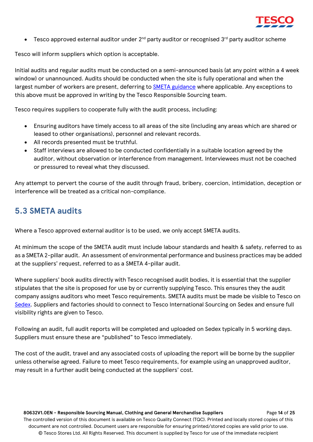

• Tesco approved external auditor under  $2^{nd}$  party auditor or recognised  $3^{rd}$  party auditor scheme

Tesco will inform suppliers which option is acceptable.

Initial audits and regular audits must be conducted on a semi-announced basis (at any point within a 4 week window) or unannounced. Audits should be conducted when the site is fully operational and when the largest number of workers are present, deferring to [SMETA guidance](https://www.sedex.com/our-services/smeta-audit/smeta-documents/) where applicable. Any exceptions to this above must be approved in writing by the Tesco Responsible Sourcing team.

Tesco requires suppliers to cooperate fully with the audit process, including:

- Ensuring auditors have timely access to all areas of the site (including any areas which are shared or leased to other organisations), personnel and relevant records.
- All records presented must be truthful.
- Staff interviews are allowed to be conducted confidentially in a suitable location agreed by the auditor, without observation or interference from management. Interviewees must not be coached or pressured to reveal what they discussed.

Any attempt to pervert the course of the audit through fraud, bribery, coercion, intimidation, deception or interference will be treated as a critical non-compliance.

## <span id="page-13-0"></span>**5.3 SMETA audits**

Where a Tesco approved external auditor is to be used, we only accept SMETA audits.

At minimum the scope of the SMETA audit must include labour standards and health & safety, referred to as as a SMETA 2-pillar audit. An assessment of environmental performance and business practices may be added at the suppliers' request, referred to as a SMETA 4-pillar audit.

Where suppliers' book audits directly with Tesco recognised audit bodies, it is essential that the supplier stipulates that the site is proposed for use by or currently supplying Tesco. This ensures they the audit company assigns auditors who meet Tesco requirements. SMETA audits must be made be visible to Tesco on [Sedex.](https://www.sedex.com/) Suppliers and factories should to connect to Tesco International Sourcing on Sedex and ensure full visibility rights are given to Tesco.

Following an audit, full audit reports will be completed and uploaded on Sedex typically in 5 working days. Suppliers must ensure these are "published" to Tesco immediately.

The cost of the audit, travel and any associated costs of uploading the report will be borne by the supplier unless otherwise agreed. Failure to meet Tesco requirements, for example using an unapproved auditor, may result in a further audit being conducted at the suppliers' cost.

 **80632V1.0EN - Responsible Sourcing Manual, Clothing and General Merchandise Suppliers** Page **14** of **25** The controlled version of this document is available on Tesco Quality Connect (TQC). Printed and locally stored copies of this document are not controlled. Document users are responsible for ensuring printed/stored copies are valid prior to use. © Tesco Stores Ltd. All Rights Reserved. This document is supplied by Tesco for use of the immediate recipient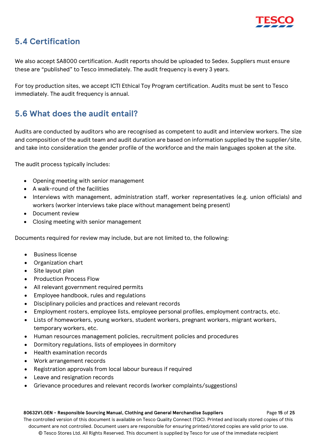

# <span id="page-14-0"></span>**5.4 Certification**

We also accept SA8000 certification. Audit reports should be uploaded to Sedex. Suppliers must ensure these are "published" to Tesco immediately. The audit frequency is every 3 years.

For toy production sites, we accept ICTI Ethical Toy Program certification. Audits must be sent to Tesco immediately. The audit frequency is annual.

# <span id="page-14-1"></span>**5.6 What does the audit entail?**

Audits are conducted by auditors who are recognised as competent to audit and interview workers. The size and composition of the audit team and audit duration are based on information supplied by the supplier/site, and take into consideration the gender profile of the workforce and the main languages spoken at the site.

The audit process typically includes:

- Opening meeting with senior management
- A walk-round of the facilities
- Interviews with management, administration staff, worker representatives (e.g. union officials) and workers (worker interviews take place without management being present)
- Document review
- Closing meeting with senior management

Documents required for review may include, but are not limited to, the following:

- Business license
- Organization chart
- Site layout plan
- Production Process Flow
- All relevant government required permits
- Employee handbook, rules and regulations
- Disciplinary policies and practices and relevant records
- Employment rosters, employee lists, employee personal profiles, employment contracts, etc.
- Lists of homeworkers, young workers, student workers, pregnant workers, migrant workers, temporary workers, etc.
- Human resources management policies, recruitment policies and procedures
- Dormitory regulations, lists of employees in dormitory
- Health examination records
- Work arrangement records
- Registration approvals from local labour bureaus if required
- Leave and resignation records
- Grievance procedures and relevant records (worker complaints/suggestions)

#### **80632V1.0EN - Responsible Sourcing Manual, Clothing and General Merchandise Suppliers** Page **15** of **25**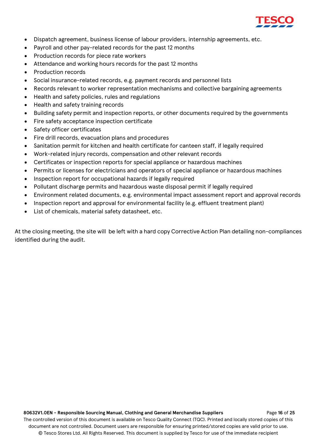

- Dispatch agreement, business license of labour providers, internship agreements, etc.
- Payroll and other pay-related records for the past 12 months
- Production records for piece rate workers
- Attendance and working hours records for the past 12 months
- Production records
- Social insurance-related records, e.g. payment records and personnel lists
- Records relevant to worker representation mechanisms and collective bargaining agreements
- Health and safety policies, rules and regulations
- Health and safety training records
- Building safety permit and inspection reports, or other documents required by the governments
- Fire safety acceptance inspection certificate
- Safety officer certificates
- Fire drill records, evacuation plans and procedures
- Sanitation permit for kitchen and health certificate for canteen staff, if legally required
- Work-related injury records, compensation and other relevant records
- Certificates or inspection reports for special appliance or hazardous machines
- Permits or licenses for electricians and operators of special appliance or hazardous machines
- Inspection report for occupational hazards if legally required
- Pollutant discharge permits and hazardous waste disposal permit if legally required
- Environment related documents, e.g. environmental impact assessment report and approval records
- Inspection report and approval for environmental facility (e.g. effluent treatment plant)
- List of chemicals, material safety datasheet, etc.

At the closing meeting, the site will be left with a hard copy Corrective Action Plan detailing non-compliances identified during the audit.

 **80632V1.0EN - Responsible Sourcing Manual, Clothing and General Merchandise Suppliers** Page **16** of **25** The controlled version of this document is available on Tesco Quality Connect (TQC). Printed and locally stored copies of this document are not controlled. Document users are responsible for ensuring printed/stored copies are valid prior to use. © Tesco Stores Ltd. All Rights Reserved. This document is supplied by Tesco for use of the immediate recipient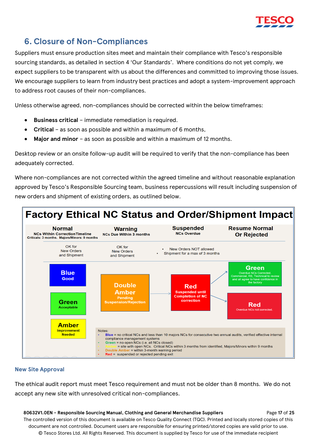

# <span id="page-16-0"></span>**6. Closure of Non-Compliances**

Suppliers must ensure production sites meet and maintain their compliance with Tesco's responsible sourcing standards, as detailed in section 4 'Our Standards'. Where conditions do not yet comply, we expect suppliers to be transparent with us about the differences and committed to improving those issues. We encourage suppliers to learn from industry best practices and adopt a system-improvement approach to address root causes of their non-compliances.

Unless otherwise agreed, non-compliances should be corrected within the below timeframes:

- **Business critical** immediate remediation is required.
- **Critical** as soon as possible and within a maximum of 6 months,
- **Major and minor** as soon as possible and within a maximum of 12 months.

Desktop review or an onsite follow-up audit will be required to verify that the non-compliance has been adequately corrected.

Where non-compliances are not corrected within the agreed timeline and without reasonable explanation approved by Tesco's Responsible Sourcing team, business repercussions will result including suspension of new orders and shipment of existing orders, as outlined below.



## **New Site Approval**

The ethical audit report must meet Tesco requirement and must not be older than 8 months. We do not accept any new site with unresolved critical non-compliances.

 **80632V1.0EN - Responsible Sourcing Manual, Clothing and General Merchandise Suppliers** Page **17** of **25** The controlled version of this document is available on Tesco Quality Connect (TQC). Printed and locally stored copies of this document are not controlled. Document users are responsible for ensuring printed/stored copies are valid prior to use. © Tesco Stores Ltd. All Rights Reserved. This document is supplied by Tesco for use of the immediate recipient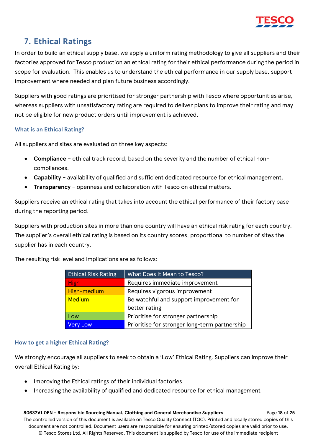

# <span id="page-17-0"></span>**7. Ethical Ratings**

In order to build an ethical supply base, we apply a uniform rating methodology to give all suppliers and their factories approved for Tesco production an ethical rating for their ethical performance during the period in scope for evaluation. This enables us to understand the ethical performance in our supply base, support improvement where needed and plan future business accordingly.

Suppliers with good ratings are prioritised for stronger partnership with Tesco where opportunities arise, whereas suppliers with unsatisfactory rating are required to deliver plans to improve their rating and may not be eligible for new product orders until improvement is achieved.

## **What is an Ethical Rating?**

All suppliers and sites are evaluated on three key aspects:

- **Compliance**  ethical track record, based on the severity and the number of ethical noncompliances.
- **Capability** availability of qualified and sufficient dedicated resource for ethical management.
- **Transparency** openness and collaboration with Tesco on ethical matters.

Suppliers receive an ethical rating that takes into account the ethical performance of their factory base during the reporting period.

Suppliers with production sites in more than one country will have an ethical risk rating for each country. The supplier's overall ethical rating is based on its country scores, proportional to number of sites the supplier has in each country.

| <b>Ethical Risk Rating</b> | What Does It Mean to Tesco?                   |
|----------------------------|-----------------------------------------------|
| <b>High</b>                | Requires immediate improvement                |
| High-medium                | Requires vigorous improvement                 |
| <b>Medium</b>              | Be watchful and support improvement for       |
|                            | better rating                                 |
| Low                        | Prioritise for stronger partnership           |
| <b>Very Low</b>            | Prioritise for stronger long-term partnership |

The resulting risk level and implications are as follows:

## **How to get a higher Ethical Rating?**

We strongly encourage all suppliers to seek to obtain a 'Low' Ethical Rating. Suppliers can improve their overall Ethical Rating by:

- Improving the Ethical ratings of their individual factories
- Increasing the availability of qualified and dedicated resource for ethical management

 **80632V1.0EN - Responsible Sourcing Manual, Clothing and General Merchandise Suppliers** Page **18** of **25** The controlled version of this document is available on Tesco Quality Connect (TQC). Printed and locally stored copies of this document are not controlled. Document users are responsible for ensuring printed/stored copies are valid prior to use. © Tesco Stores Ltd. All Rights Reserved. This document is supplied by Tesco for use of the immediate recipient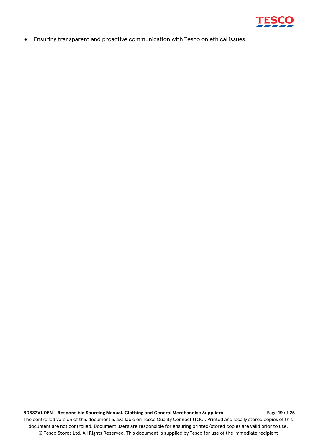

• Ensuring transparent and proactive communication with Tesco on ethical issues.

#### **80632V1.0EN - Responsible Sourcing Manual, Clothing and General Merchandise Suppliers** Page **19** of **25**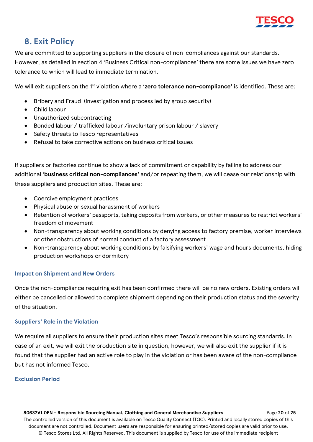

# <span id="page-19-0"></span>**8. Exit Policy**

We are committed to supporting suppliers in the closure of non-compliances against our standards. However, as detailed in section 4 'Business Critical non-compliances' there are some issues we have zero tolerance to which will lead to immediate termination.

We will exit suppliers on the 1<sup>st</sup> violation where a '**zero tolerance non-compliance'** is identified. These are:

- Bribery and Fraud (investigation and process led by group security)
- Child labour
- Unauthorized subcontracting
- Bonded labour / trafficked labour /involuntary prison labour / slavery
- Safety threats to Tesco representatives
- Refusal to take corrective actions on business critical issues

If suppliers or factories continue to show a lack of commitment or capability by failing to address our additional '**business critical non-compliances'** and/or repeating them, we will cease our relationship with these suppliers and production sites. These are:

- Coercive employment practices
- Physical abuse or sexual harassment of workers
- Retention of workers' passports, taking deposits from workers, or other measures to restrict workers' freedom of movement
- Non-transparency about working conditions by denying access to factory premise, worker interviews or other obstructions of normal conduct of a factory assessment
- Non-transparency about working conditions by falsifying workers' wage and hours documents, hiding production workshops or dormitory

## **Impact on Shipment and New Orders**

Once the non-compliance requiring exit has been confirmed there will be no new orders. Existing orders will either be cancelled or allowed to complete shipment depending on their production status and the severity of the situation.

## **Suppliers' Role in the Violation**

We require all suppliers to ensure their production sites meet Tesco's responsible sourcing standards. In case of an exit, we will exit the production site in question, however, we will also exit the supplier if it is found that the supplier had an active role to play in the violation or has been aware of the non-compliance but has not informed Tesco.

## **Exclusion Period**

 **80632V1.0EN - Responsible Sourcing Manual, Clothing and General Merchandise Suppliers** Page **20** of **25** The controlled version of this document is available on Tesco Quality Connect (TQC). Printed and locally stored copies of this document are not controlled. Document users are responsible for ensuring printed/stored copies are valid prior to use. © Tesco Stores Ltd. All Rights Reserved. This document is supplied by Tesco for use of the immediate recipient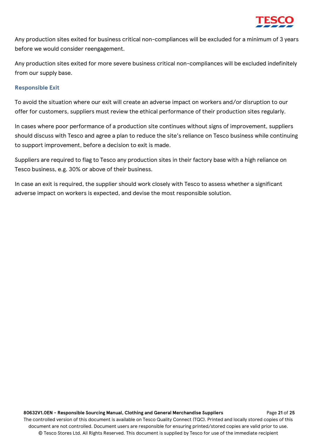

Any production sites exited for business critical non-compliances will be excluded for a minimum of 3 years before we would consider reengagement.

Any production sites exited for more severe business critical non-compliances will be excluded indefinitely from our supply base.

#### **Responsible Exit**

To avoid the situation where our exit will create an adverse impact on workers and/or disruption to our offer for customers, suppliers must review the ethical performance of their production sites regularly.

In cases where poor performance of a production site continues without signs of improvement, suppliers should discuss with Tesco and agree a plan to reduce the site's reliance on Tesco business while continuing to support improvement, before a decision to exit is made.

Suppliers are required to flag to Tesco any production sites in their factory base with a high reliance on Tesco business, e.g. 30% or above of their business.

In case an exit is required, the supplier should work closely with Tesco to assess whether a significant adverse impact on workers is expected, and devise the most responsible solution.

 **80632V1.0EN - Responsible Sourcing Manual, Clothing and General Merchandise Suppliers** Page **21** of **25** The controlled version of this document is available on Tesco Quality Connect (TQC). Printed and locally stored copies of this document are not controlled. Document users are responsible for ensuring printed/stored copies are valid prior to use. © Tesco Stores Ltd. All Rights Reserved. This document is supplied by Tesco for use of the immediate recipient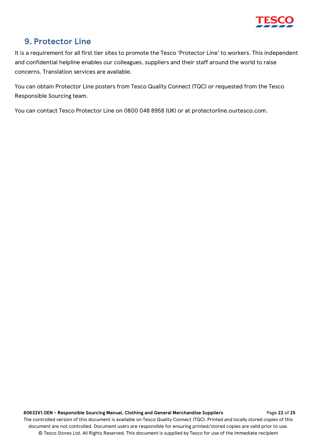

# <span id="page-21-0"></span>**9. Protector Line**

It is a requirement for all first tier sites to promote the Tesco 'Protector Line' to workers. This independent and confidential helpline enables our colleagues, suppliers and their staff around the world to raise concerns. Translation services are available.

You can obtain Protector Line posters from Tesco Quality Connect (TQC) or requested from the Tesco Responsible Sourcing team.

You can contact Tesco Protector Line on 0800 048 8958 (UK) or at protectorline.ourtesco.com.

 **80632V1.0EN - Responsible Sourcing Manual, Clothing and General Merchandise Suppliers** Page **22** of **25**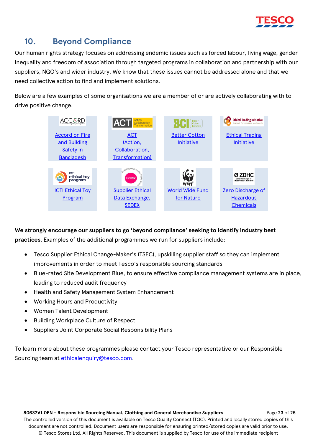

# <span id="page-22-0"></span>**10. Beyond Compliance**

Our human rights strategy focuses on addressing endemic issues such as forced labour, living wage, gender inequality and freedom of association through targeted programs in collaboration and partnership with our suppliers, NGO's and wider industry. We know that these issues cannot be addressed alone and that we need collective action to find and implement solutions.

Below are a few examples of some organisations we are a member of or are actively collaborating with to drive positive change.



**We strongly encourage our suppliers to go 'beyond compliance' seeking to identify industry best practices**. Examples of the additional programmes we run for suppliers include:

- Tesco Supplier Ethical Change-Maker's (TSEC), upskilling supplier staff so they can implement improvements in order to meet Tesco's responsible sourcing standards
- Blue-rated Site Development Blue, to ensure effective compliance management systems are in place, leading to reduced audit frequency
- Health and Safety Management System Enhancement
- Working Hours and Productivity
- Women Talent Development
- Building Workplace Culture of Respect
- Suppliers Joint Corporate Social Responsibility Plans

To learn more about these programmes please contact your Tesco representative or our Responsible Sourcing team at [ethicalenquiry@tesco.com.](mailto:ethicalenquiry@tesco.com)

 **80632V1.0EN - Responsible Sourcing Manual, Clothing and General Merchandise Suppliers** Page **23** of **25** The controlled version of this document is available on Tesco Quality Connect (TQC). Printed and locally stored copies of this document are not controlled. Document users are responsible for ensuring printed/stored copies are valid prior to use. © Tesco Stores Ltd. All Rights Reserved. This document is supplied by Tesco for use of the immediate recipient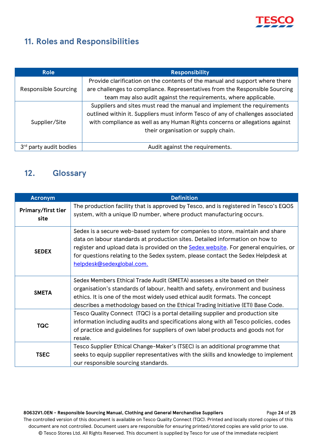

# <span id="page-23-0"></span>**11. Roles and Responsibilities**

| <b>Role</b>          | <b>Responsibility</b>                                                                                                                                                                                                                                                            |
|----------------------|----------------------------------------------------------------------------------------------------------------------------------------------------------------------------------------------------------------------------------------------------------------------------------|
|                      | Provide clarification on the contents of the manual and support where there                                                                                                                                                                                                      |
| Responsible Sourcing | are challenges to compliance. Representatives from the Responsible Sourcing                                                                                                                                                                                                      |
|                      | team may also audit against the requirements, where applicable.                                                                                                                                                                                                                  |
| Supplier/Site        | Suppliers and sites must read the manual and implement the requirements<br>outlined within it. Suppliers must inform Tesco of any of challenges associated<br>with compliance as well as any Human Rights concerns or allegations against<br>their organisation or supply chain. |
|                      |                                                                                                                                                                                                                                                                                  |
| party audit bodies   | Audit against the requirements.                                                                                                                                                                                                                                                  |

# <span id="page-23-1"></span>**12. Glossary**

| <b>Acronym</b>             | <b>Definition</b>                                                                                                                                                                                                                                                                                                                                                              |
|----------------------------|--------------------------------------------------------------------------------------------------------------------------------------------------------------------------------------------------------------------------------------------------------------------------------------------------------------------------------------------------------------------------------|
| Primary/first tier<br>site | The production facility that is approved by Tesco, and is registered in Tesco's EQOS<br>system, with a unique ID number, where product manufacturing occurs.                                                                                                                                                                                                                   |
| <b>SEDEX</b>               | Sedex is a secure web-based system for companies to store, maintain and share<br>data on labour standards at production sites. Detailed information on how to<br>register and upload data is provided on the <b>Sedex website</b> . For general enquiries, or<br>for questions relating to the Sedex system, please contact the Sedex Helpdesk at<br>helpdesk@sedexglobal.com. |
| <b>SMETA</b>               | Sedex Members Ethical Trade Audit (SMETA) assesses a site based on their<br>organisation's standards of labour, health and safety, environment and business<br>ethics. It is one of the most widely used ethical audit formats. The concept<br>describes a methodology based on the Ethical Trading Initiative (ETI) Base Code.                                                |
| <b>TQC</b>                 | Tesco Quality Connect (TQC) is a portal detailing supplier and production site<br>information including audits and specifications along with all Tesco policies, codes<br>of practice and guidelines for suppliers of own label products and goods not for<br>resale.                                                                                                          |
| <b>TSEC</b>                | Tesco Supplier Ethical Change-Maker's (TSEC) is an additional programme that<br>seeks to equip supplier representatives with the skills and knowledge to implement<br>our responsible sourcing standards.                                                                                                                                                                      |

 **80632V1.0EN - Responsible Sourcing Manual, Clothing and General Merchandise Suppliers** Page **24** of **25** The controlled version of this document is available on Tesco Quality Connect (TQC). Printed and locally stored copies of this document are not controlled. Document users are responsible for ensuring printed/stored copies are valid prior to use. © Tesco Stores Ltd. All Rights Reserved. This document is supplied by Tesco for use of the immediate recipient